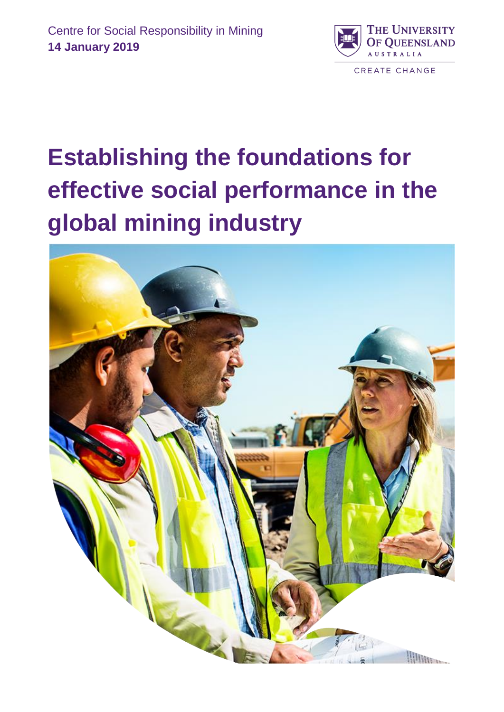

# **Establishing the foundations for effective social performance in the global mining industry**

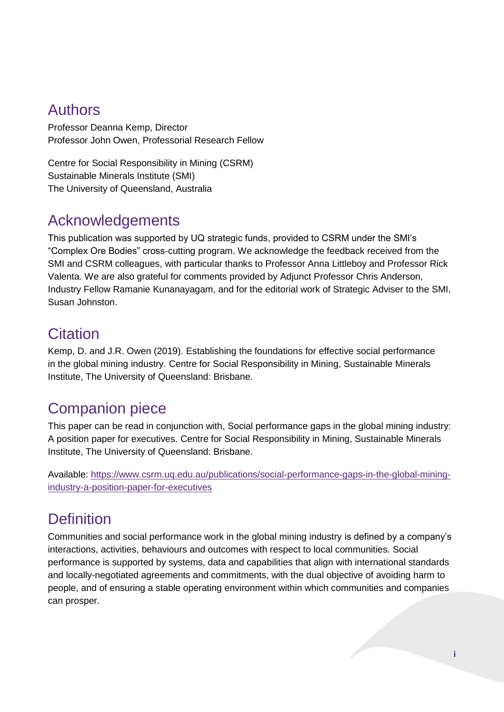### Authors

Professor Deanna Kemp, Director Professor John Owen, Professorial Research Fellow

Centre for Social Responsibility in Mining (CSRM) Sustainable Minerals Institute (SMI) The University of Queensland, Australia

### Acknowledgements

This publication was supported by UQ strategic funds, provided to CSRM under the SMI's "Complex Ore Bodies" cross-cutting program. We acknowledge the feedback received from the SMI and CSRM colleagues, with particular thanks to Professor Anna Littleboy and Professor Rick Valenta. We are also grateful for comments provided by Adjunct Professor Chris Anderson, Industry Fellow Ramanie Kunanayagam, and for the editorial work of Strategic Adviser to the SMI, Susan Johnston.

### **Citation**

Kemp, D. and J.R. Owen (2019). Establishing the foundations for effective social performance in the global mining industry. Centre for Social Responsibility in Mining, Sustainable Minerals Institute, The University of Queensland: Brisbane.

### Companion piece

This paper can be read in conjunction with, Social performance gaps in the global mining industry: A position paper for executives. Centre for Social Responsibility in Mining, Sustainable Minerals Institute, The University of Queensland: Brisbane.

Available: [https://www.csrm.uq.edu.au/publications/social-performance-gaps-in-the-global-mining](https://www.csrm.uq.edu.au/publications/social-performance-gaps-in-the-global-mining-industry-a-position-paper-for-executives)[industry-a-position-paper-for-executives](https://www.csrm.uq.edu.au/publications/social-performance-gaps-in-the-global-mining-industry-a-position-paper-for-executives)

## **Definition**

Communities and social performance work in the global mining industry is defined by a company's interactions, activities, behaviours and outcomes with respect to local communities. Social performance is supported by systems, data and capabilities that align with international standards and locally-negotiated agreements and commitments, with the dual objective of avoiding harm to people, and of ensuring a stable operating environment within which communities and companies can prosper.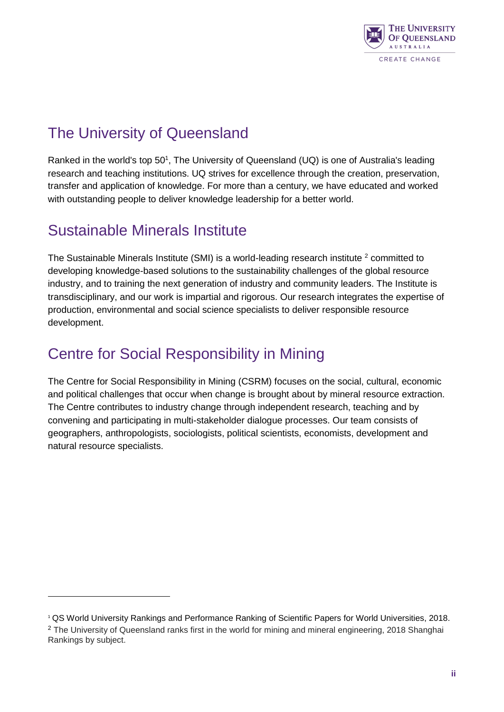

### The University of Queensland

Ranked in the world's top 50<sup>1</sup>, The University of Queensland (UQ) is one of Australia's leading research and teaching institutions. UQ strives for excellence through the creation, preservation, transfer and application of knowledge. For more than a century, we have educated and worked with outstanding people to deliver knowledge leadership for a better world.

### Sustainable Minerals Institute

-

The Sustainable Minerals Institute (SMI) is a world-leading research institute <sup>2</sup> committed to developing knowledge-based solutions to the sustainability challenges of the global resource industry, and to training the next generation of industry and community leaders. The Institute is transdisciplinary, and our work is impartial and rigorous. Our research integrates the expertise of production, environmental and social science specialists to deliver responsible resource development.

### Centre for Social Responsibility in Mining

The Centre for Social Responsibility in Mining (CSRM) focuses on the social, cultural, economic and political challenges that occur when change is brought about by mineral resource extraction. The Centre contributes to industry change through independent research, teaching and by convening and participating in multi-stakeholder dialogue processes. Our team consists of geographers, anthropologists, sociologists, political scientists, economists, development and natural resource specialists.

<sup>1</sup> QS World University Rankings and Performance Ranking of Scientific Papers for World Universities, 2018. <sup>2</sup> The University of Queensland ranks first in the world for mining and mineral engineering, 2018 Shanghai Rankings by subject.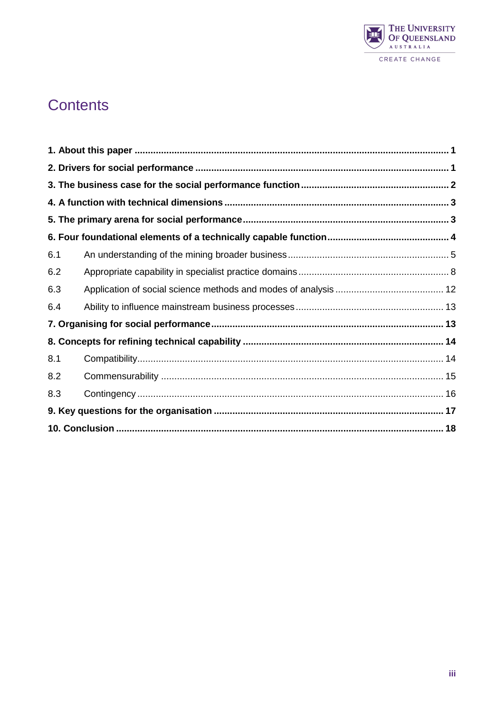

### **Contents**

| 6.1 |  |
|-----|--|
| 6.2 |  |
| 6.3 |  |
| 6.4 |  |
|     |  |
|     |  |
| 8.1 |  |
| 8.2 |  |
| 8.3 |  |
|     |  |
|     |  |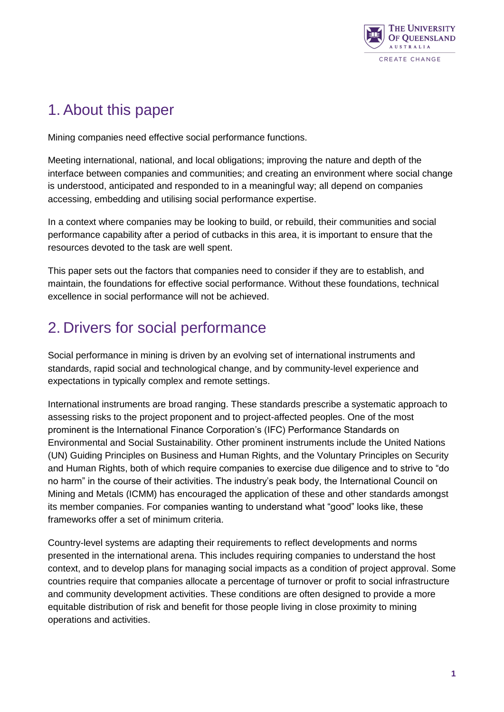

### <span id="page-4-0"></span>1. About this paper

Mining companies need effective social performance functions.

Meeting international, national, and local obligations; improving the nature and depth of the interface between companies and communities; and creating an environment where social change is understood, anticipated and responded to in a meaningful way; all depend on companies accessing, embedding and utilising social performance expertise.

In a context where companies may be looking to build, or rebuild, their communities and social performance capability after a period of cutbacks in this area, it is important to ensure that the resources devoted to the task are well spent.

This paper sets out the factors that companies need to consider if they are to establish, and maintain, the foundations for effective social performance. Without these foundations, technical excellence in social performance will not be achieved.

### <span id="page-4-1"></span>2. Drivers for social performance

Social performance in mining is driven by an evolving set of international instruments and standards, rapid social and technological change, and by community-level experience and expectations in typically complex and remote settings.

International instruments are broad ranging. These standards prescribe a systematic approach to assessing risks to the project proponent and to project-affected peoples. One of the most prominent is the International Finance Corporation's (IFC) Performance Standards on Environmental and Social Sustainability. Other prominent instruments include the United Nations (UN) Guiding Principles on Business and Human Rights, and the Voluntary Principles on Security and Human Rights, both of which require companies to exercise due diligence and to strive to "do no harm" in the course of their activities. The industry's peak body, the International Council on Mining and Metals (ICMM) has encouraged the application of these and other standards amongst its member companies. For companies wanting to understand what "good" looks like, these frameworks offer a set of minimum criteria.

Country-level systems are adapting their requirements to reflect developments and norms presented in the international arena. This includes requiring companies to understand the host context, and to develop plans for managing social impacts as a condition of project approval. Some countries require that companies allocate a percentage of turnover or profit to social infrastructure and community development activities. These conditions are often designed to provide a more equitable distribution of risk and benefit for those people living in close proximity to mining operations and activities.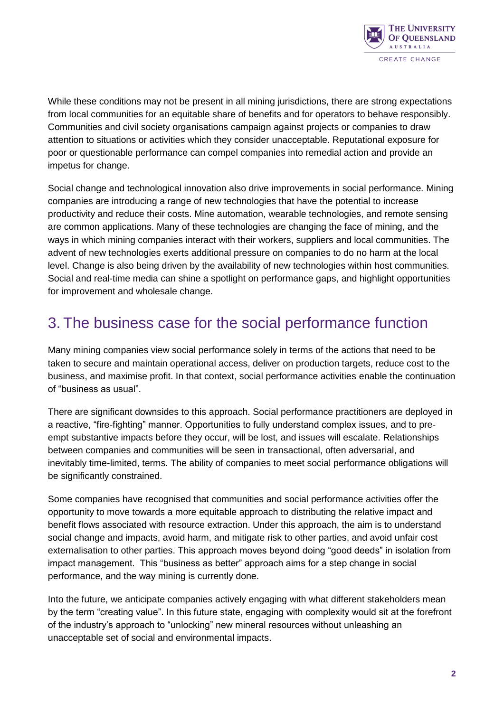

While these conditions may not be present in all mining jurisdictions, there are strong expectations from local communities for an equitable share of benefits and for operators to behave responsibly. Communities and civil society organisations campaign against projects or companies to draw attention to situations or activities which they consider unacceptable. Reputational exposure for poor or questionable performance can compel companies into remedial action and provide an impetus for change.

Social change and technological innovation also drive improvements in social performance. Mining companies are introducing a range of new technologies that have the potential to increase productivity and reduce their costs. Mine automation, wearable technologies, and remote sensing are common applications. Many of these technologies are changing the face of mining, and the ways in which mining companies interact with their workers, suppliers and local communities. The advent of new technologies exerts additional pressure on companies to do no harm at the local level. Change is also being driven by the availability of new technologies within host communities. Social and real-time media can shine a spotlight on performance gaps, and highlight opportunities for improvement and wholesale change.

### <span id="page-5-0"></span>3. The business case for the social performance function

Many mining companies view social performance solely in terms of the actions that need to be taken to secure and maintain operational access, deliver on production targets, reduce cost to the business, and maximise profit. In that context, social performance activities enable the continuation of "business as usual".

There are significant downsides to this approach. Social performance practitioners are deployed in a reactive, "fire-fighting" manner. Opportunities to fully understand complex issues, and to preempt substantive impacts before they occur, will be lost, and issues will escalate. Relationships between companies and communities will be seen in transactional, often adversarial, and inevitably time-limited, terms. The ability of companies to meet social performance obligations will be significantly constrained.

Some companies have recognised that communities and social performance activities offer the opportunity to move towards a more equitable approach to distributing the relative impact and benefit flows associated with resource extraction. Under this approach, the aim is to understand social change and impacts, avoid harm, and mitigate risk to other parties, and avoid unfair cost externalisation to other parties. This approach moves beyond doing "good deeds" in isolation from impact management. This "business as better" approach aims for a step change in social performance, and the way mining is currently done.

Into the future, we anticipate companies actively engaging with what different stakeholders mean by the term "creating value". In this future state, engaging with complexity would sit at the forefront of the industry's approach to "unlocking" new mineral resources without unleashing an unacceptable set of social and environmental impacts.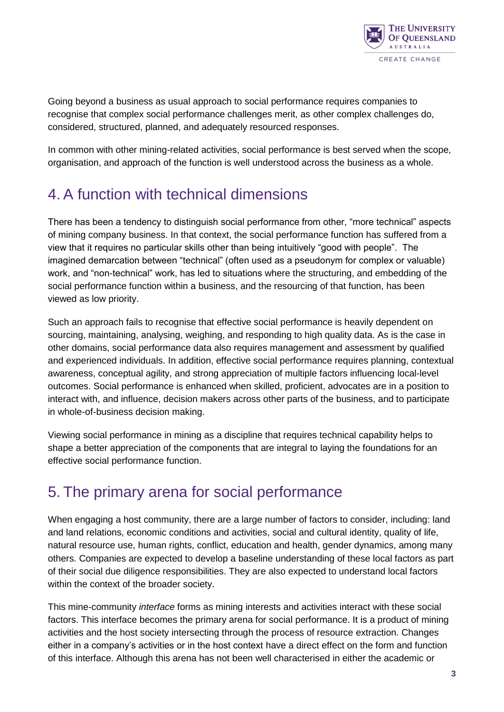

Going beyond a business as usual approach to social performance requires companies to recognise that complex social performance challenges merit, as other complex challenges do, considered, structured, planned, and adequately resourced responses.

In common with other mining-related activities, social performance is best served when the scope, organisation, and approach of the function is well understood across the business as a whole.

### <span id="page-6-0"></span>4. A function with technical dimensions

There has been a tendency to distinguish social performance from other, "more technical" aspects of mining company business. In that context, the social performance function has suffered from a view that it requires no particular skills other than being intuitively "good with people". The imagined demarcation between "technical" (often used as a pseudonym for complex or valuable) work, and "non-technical" work, has led to situations where the structuring, and embedding of the social performance function within a business, and the resourcing of that function, has been viewed as low priority.

Such an approach fails to recognise that effective social performance is heavily dependent on sourcing, maintaining, analysing, weighing, and responding to high quality data. As is the case in other domains, social performance data also requires management and assessment by qualified and experienced individuals. In addition, effective social performance requires planning, contextual awareness, conceptual agility, and strong appreciation of multiple factors influencing local-level outcomes. Social performance is enhanced when skilled, proficient, advocates are in a position to interact with, and influence, decision makers across other parts of the business, and to participate in whole-of-business decision making.

Viewing social performance in mining as a discipline that requires technical capability helps to shape a better appreciation of the components that are integral to laying the foundations for an effective social performance function.

### <span id="page-6-1"></span>5. The primary arena for social performance

When engaging a host community, there are a large number of factors to consider, including: land and land relations, economic conditions and activities, social and cultural identity, quality of life, natural resource use, human rights, conflict, education and health, gender dynamics, among many others. Companies are expected to develop a baseline understanding of these local factors as part of their social due diligence responsibilities. They are also expected to understand local factors within the context of the broader society.

This mine-community *interface* forms as mining interests and activities interact with these social factors. This interface becomes the primary arena for social performance. It is a product of mining activities and the host society intersecting through the process of resource extraction. Changes either in a company's activities or in the host context have a direct effect on the form and function of this interface. Although this arena has not been well characterised in either the academic or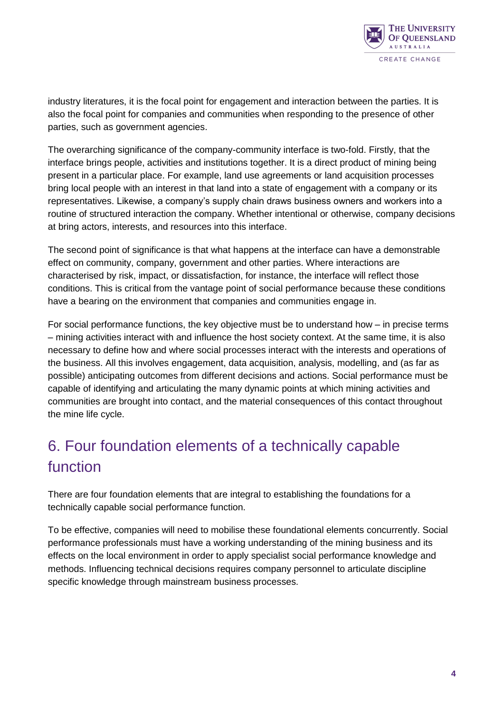

industry literatures, it is the focal point for engagement and interaction between the parties. It is also the focal point for companies and communities when responding to the presence of other parties, such as government agencies.

The overarching significance of the company-community interface is two-fold. Firstly, that the interface brings people, activities and institutions together. It is a direct product of mining being present in a particular place. For example, land use agreements or land acquisition processes bring local people with an interest in that land into a state of engagement with a company or its representatives. Likewise, a company's supply chain draws business owners and workers into a routine of structured interaction the company. Whether intentional or otherwise, company decisions at bring actors, interests, and resources into this interface.

The second point of significance is that what happens at the interface can have a demonstrable effect on community, company, government and other parties. Where interactions are characterised by risk, impact, or dissatisfaction, for instance, the interface will reflect those conditions. This is critical from the vantage point of social performance because these conditions have a bearing on the environment that companies and communities engage in.

For social performance functions, the key objective must be to understand how – in precise terms – mining activities interact with and influence the host society context. At the same time, it is also necessary to define how and where social processes interact with the interests and operations of the business. All this involves engagement, data acquisition, analysis, modelling, and (as far as possible) anticipating outcomes from different decisions and actions. Social performance must be capable of identifying and articulating the many dynamic points at which mining activities and communities are brought into contact, and the material consequences of this contact throughout the mine life cycle.

# <span id="page-7-0"></span>6. Four foundation elements of a technically capable function

There are four foundation elements that are integral to establishing the foundations for a technically capable social performance function.

To be effective, companies will need to mobilise these foundational elements concurrently. Social performance professionals must have a working understanding of the mining business and its effects on the local environment in order to apply specialist social performance knowledge and methods. Influencing technical decisions requires company personnel to articulate discipline specific knowledge through mainstream business processes.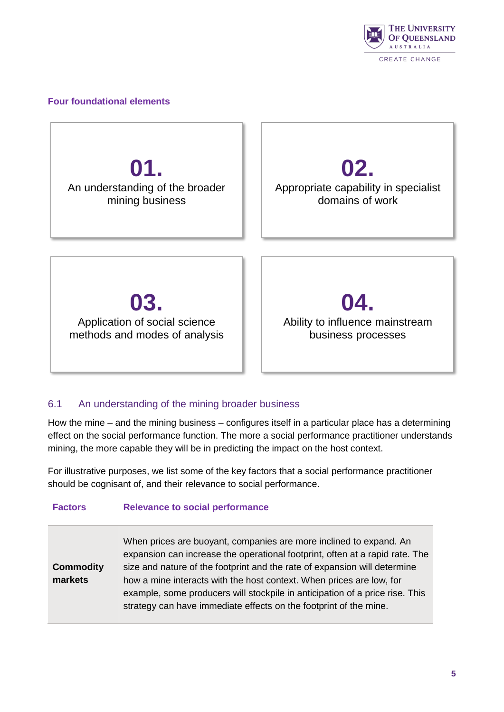

#### **Four foundational elements**

**01.** An understanding of the broader mining business

**02.**

Appropriate capability in specialist domains of work

**03.** Application of social science methods and modes of analysis

**04.** Ability to influence mainstream business processes

#### <span id="page-8-0"></span>6.1 An understanding of the mining broader business

**Factors Relevance to social performance**

How the mine – and the mining business – configures itself in a particular place has a determining effect on the social performance function. The more a social performance practitioner understands mining, the more capable they will be in predicting the impact on the host context.

For illustrative purposes, we list some of the key factors that a social performance practitioner should be cognisant of, and their relevance to social performance.

|                             | 11010101100100000010100110111011000                                                                                                                                                                                                                                                                                                                                                                                                                          |
|-----------------------------|--------------------------------------------------------------------------------------------------------------------------------------------------------------------------------------------------------------------------------------------------------------------------------------------------------------------------------------------------------------------------------------------------------------------------------------------------------------|
| <b>Commodity</b><br>markets | When prices are buoyant, companies are more inclined to expand. An<br>expansion can increase the operational footprint, often at a rapid rate. The<br>size and nature of the footprint and the rate of expansion will determine<br>how a mine interacts with the host context. When prices are low, for<br>example, some producers will stockpile in anticipation of a price rise. This<br>strategy can have immediate effects on the footprint of the mine. |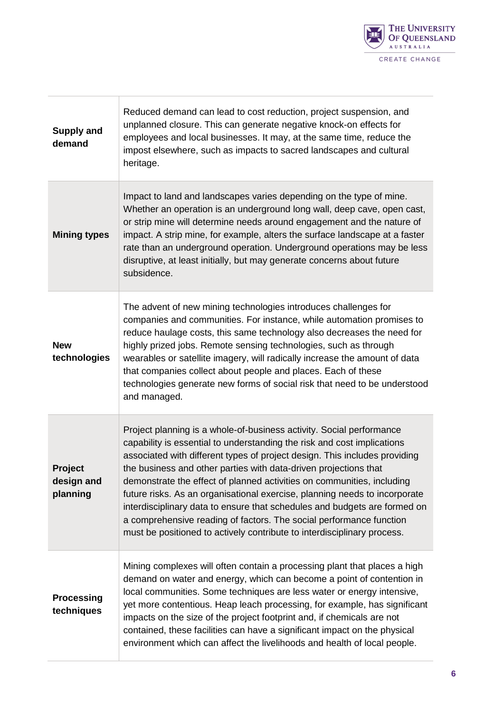

| <b>Supply and</b><br>demand       | Reduced demand can lead to cost reduction, project suspension, and<br>unplanned closure. This can generate negative knock-on effects for<br>employees and local businesses. It may, at the same time, reduce the<br>impost elsewhere, such as impacts to sacred landscapes and cultural<br>heritage.                                                                                                                                                                                                                                                                                                                                                                                     |
|-----------------------------------|------------------------------------------------------------------------------------------------------------------------------------------------------------------------------------------------------------------------------------------------------------------------------------------------------------------------------------------------------------------------------------------------------------------------------------------------------------------------------------------------------------------------------------------------------------------------------------------------------------------------------------------------------------------------------------------|
| <b>Mining types</b>               | Impact to land and landscapes varies depending on the type of mine.<br>Whether an operation is an underground long wall, deep cave, open cast,<br>or strip mine will determine needs around engagement and the nature of<br>impact. A strip mine, for example, alters the surface landscape at a faster<br>rate than an underground operation. Underground operations may be less<br>disruptive, at least initially, but may generate concerns about future<br>subsidence.                                                                                                                                                                                                               |
| <b>New</b><br>technologies        | The advent of new mining technologies introduces challenges for<br>companies and communities. For instance, while automation promises to<br>reduce haulage costs, this same technology also decreases the need for<br>highly prized jobs. Remote sensing technologies, such as through<br>wearables or satellite imagery, will radically increase the amount of data<br>that companies collect about people and places. Each of these<br>technologies generate new forms of social risk that need to be understood<br>and managed.                                                                                                                                                       |
| Project<br>design and<br>planning | Project planning is a whole-of-business activity. Social performance<br>capability is essential to understanding the risk and cost implications<br>associated with different types of project design. This includes providing<br>the business and other parties with data-driven projections that<br>demonstrate the effect of planned activities on communities, including<br>future risks. As an organisational exercise, planning needs to incorporate<br>interdisciplinary data to ensure that schedules and budgets are formed on<br>a comprehensive reading of factors. The social performance function<br>must be positioned to actively contribute to interdisciplinary process. |
| <b>Processing</b><br>techniques   | Mining complexes will often contain a processing plant that places a high<br>demand on water and energy, which can become a point of contention in<br>local communities. Some techniques are less water or energy intensive,<br>yet more contentious. Heap leach processing, for example, has significant<br>impacts on the size of the project footprint and, if chemicals are not<br>contained, these facilities can have a significant impact on the physical<br>environment which can affect the livelihoods and health of local people.                                                                                                                                             |

T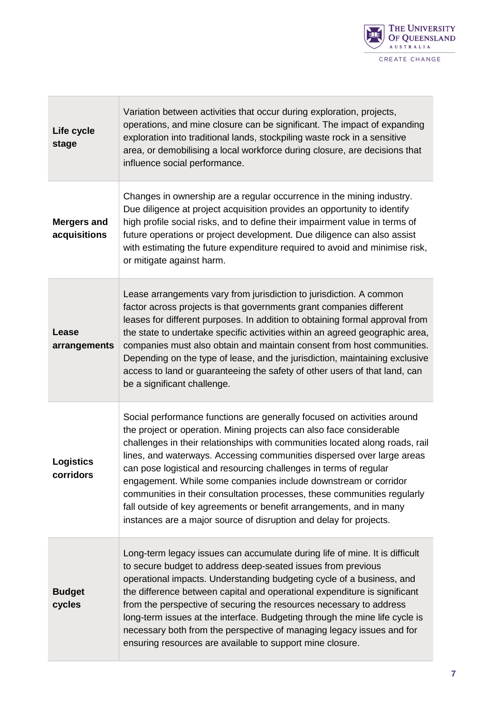

| Life cycle<br>stage                | Variation between activities that occur during exploration, projects,<br>operations, and mine closure can be significant. The impact of expanding<br>exploration into traditional lands, stockpiling waste rock in a sensitive<br>area, or demobilising a local workforce during closure, are decisions that<br>influence social performance.                                                                                                                                                                                                                                                                                                                              |
|------------------------------------|----------------------------------------------------------------------------------------------------------------------------------------------------------------------------------------------------------------------------------------------------------------------------------------------------------------------------------------------------------------------------------------------------------------------------------------------------------------------------------------------------------------------------------------------------------------------------------------------------------------------------------------------------------------------------|
| <b>Mergers and</b><br>acquisitions | Changes in ownership are a regular occurrence in the mining industry.<br>Due diligence at project acquisition provides an opportunity to identify<br>high profile social risks, and to define their impairment value in terms of<br>future operations or project development. Due diligence can also assist<br>with estimating the future expenditure required to avoid and minimise risk,<br>or mitigate against harm.                                                                                                                                                                                                                                                    |
| Lease<br>arrangements              | Lease arrangements vary from jurisdiction to jurisdiction. A common<br>factor across projects is that governments grant companies different<br>leases for different purposes. In addition to obtaining formal approval from<br>the state to undertake specific activities within an agreed geographic area,<br>companies must also obtain and maintain consent from host communities.<br>Depending on the type of lease, and the jurisdiction, maintaining exclusive<br>access to land or guaranteeing the safety of other users of that land, can<br>be a significant challenge.                                                                                          |
| <b>Logistics</b><br>corridors      | Social performance functions are generally focused on activities around<br>the project or operation. Mining projects can also face considerable<br>challenges in their relationships with communities located along roads, rail<br>lines, and waterways. Accessing communities dispersed over large areas<br>can pose logistical and resourcing challenges in terms of regular<br>engagement. While some companies include downstream or corridor<br>communities in their consultation processes, these communities regularly<br>fall outside of key agreements or benefit arrangements, and in many<br>instances are a major source of disruption and delay for projects. |
| <b>Budget</b><br>cycles            | Long-term legacy issues can accumulate during life of mine. It is difficult<br>to secure budget to address deep-seated issues from previous<br>operational impacts. Understanding budgeting cycle of a business, and<br>the difference between capital and operational expenditure is significant<br>from the perspective of securing the resources necessary to address<br>long-term issues at the interface. Budgeting through the mine life cycle is<br>necessary both from the perspective of managing legacy issues and for<br>ensuring resources are available to support mine closure.                                                                              |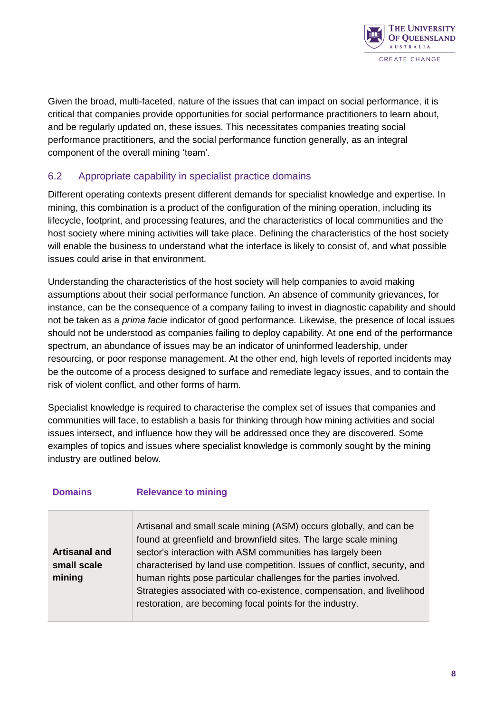

Given the broad, multi-faceted, nature of the issues that can impact on social performance, it is critical that companies provide opportunities for social performance practitioners to learn about, and be regularly updated on, these issues. This necessitates companies treating social performance practitioners, and the social performance function generally, as an integral component of the overall mining 'team'.

#### <span id="page-11-0"></span>6.2 Appropriate capability in specialist practice domains

Different operating contexts present different demands for specialist knowledge and expertise. In mining, this combination is a product of the configuration of the mining operation, including its lifecycle, footprint, and processing features, and the characteristics of local communities and the host society where mining activities will take place. Defining the characteristics of the host society will enable the business to understand what the interface is likely to consist of, and what possible issues could arise in that environment.

Understanding the characteristics of the host society will help companies to avoid making assumptions about their social performance function. An absence of community grievances, for instance, can be the consequence of a company failing to invest in diagnostic capability and should not be taken as a *prima facie* indicator of good performance. Likewise, the presence of local issues should not be understood as companies failing to deploy capability. At one end of the performance spectrum, an abundance of issues may be an indicator of uninformed leadership, under resourcing, or poor response management. At the other end, high levels of reported incidents may be the outcome of a process designed to surface and remediate legacy issues, and to contain the risk of violent conflict, and other forms of harm.

Specialist knowledge is required to characterise the complex set of issues that companies and communities will face, to establish a basis for thinking through how mining activities and social issues intersect, and influence how they will be addressed once they are discovered. Some examples of topics and issues where specialist knowledge is commonly sought by the mining industry are outlined below.

| <b>Domains</b>                                | <b>Relevance to mining</b>                                                                                                                                                                                                                                                                                                                                                                                                                                                                 |
|-----------------------------------------------|--------------------------------------------------------------------------------------------------------------------------------------------------------------------------------------------------------------------------------------------------------------------------------------------------------------------------------------------------------------------------------------------------------------------------------------------------------------------------------------------|
| <b>Artisanal and</b><br>small scale<br>mining | Artisanal and small scale mining (ASM) occurs globally, and can be<br>found at greenfield and brownfield sites. The large scale mining<br>sector's interaction with ASM communities has largely been<br>characterised by land use competition. Issues of conflict, security, and<br>human rights pose particular challenges for the parties involved.<br>Strategies associated with co-existence, compensation, and livelihood<br>restoration, are becoming focal points for the industry. |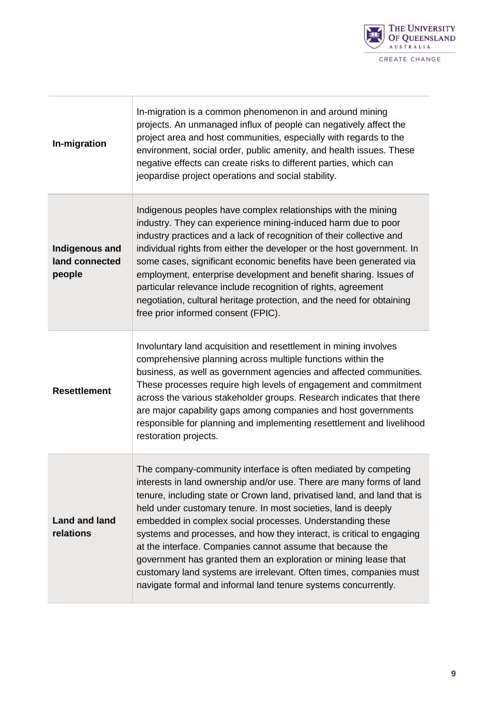

| In-migration                               | In-migration is a common phenomenon in and around mining<br>projects. An unmanaged influx of people can negatively affect the<br>project area and host communities, especially with regards to the<br>environment, social order, public amenity, and health issues. These<br>negative effects can create risks to different parties, which can<br>jeopardise project operations and social stability.                                                                                                                                                                                                                                                                                               |
|--------------------------------------------|-----------------------------------------------------------------------------------------------------------------------------------------------------------------------------------------------------------------------------------------------------------------------------------------------------------------------------------------------------------------------------------------------------------------------------------------------------------------------------------------------------------------------------------------------------------------------------------------------------------------------------------------------------------------------------------------------------|
| Indigenous and<br>land connected<br>people | Indigenous peoples have complex relationships with the mining<br>industry. They can experience mining-induced harm due to poor<br>industry practices and a lack of recognition of their collective and<br>individual rights from either the developer or the host government. In<br>some cases, significant economic benefits have been generated via<br>employment, enterprise development and benefit sharing. Issues of<br>particular relevance include recognition of rights, agreement<br>negotiation, cultural heritage protection, and the need for obtaining<br>free prior informed consent (FPIC).                                                                                         |
| <b>Resettlement</b>                        | Involuntary land acquisition and resettlement in mining involves<br>comprehensive planning across multiple functions within the<br>business, as well as government agencies and affected communities.<br>These processes require high levels of engagement and commitment<br>across the various stakeholder groups. Research indicates that there<br>are major capability gaps among companies and host governments<br>responsible for planning and implementing resettlement and livelihood<br>restoration projects.                                                                                                                                                                               |
| <b>Land and land</b><br>relations          | The company-community interface is often mediated by competing<br>interests in land ownership and/or use. There are many forms of land<br>tenure, including state or Crown land, privatised land, and land that is<br>held under customary tenure. In most societies, land is deeply<br>embedded in complex social processes. Understanding these<br>systems and processes, and how they interact, is critical to engaging<br>at the interface. Companies cannot assume that because the<br>government has granted them an exploration or mining lease that<br>customary land systems are irrelevant. Often times, companies must<br>navigate formal and informal land tenure systems concurrently. |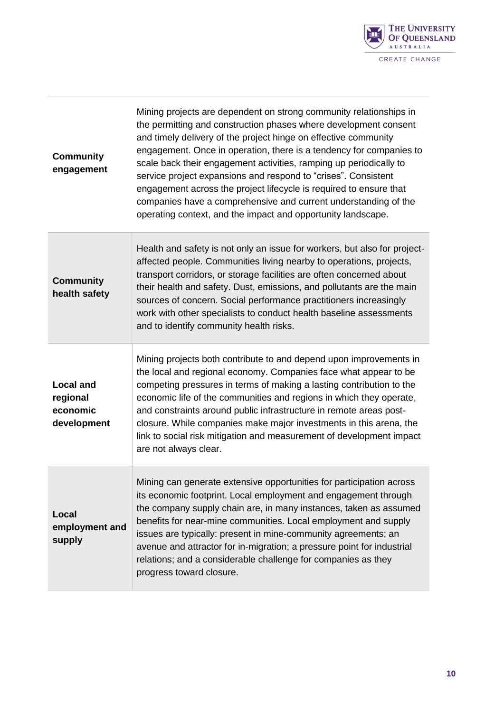

| <b>Community</b><br>engagement                          | Mining projects are dependent on strong community relationships in<br>the permitting and construction phases where development consent<br>and timely delivery of the project hinge on effective community<br>engagement. Once in operation, there is a tendency for companies to<br>scale back their engagement activities, ramping up periodically to<br>service project expansions and respond to "crises". Consistent<br>engagement across the project lifecycle is required to ensure that<br>companies have a comprehensive and current understanding of the<br>operating context, and the impact and opportunity landscape. |
|---------------------------------------------------------|-----------------------------------------------------------------------------------------------------------------------------------------------------------------------------------------------------------------------------------------------------------------------------------------------------------------------------------------------------------------------------------------------------------------------------------------------------------------------------------------------------------------------------------------------------------------------------------------------------------------------------------|
| <b>Community</b><br>health safety                       | Health and safety is not only an issue for workers, but also for project-<br>affected people. Communities living nearby to operations, projects,<br>transport corridors, or storage facilities are often concerned about<br>their health and safety. Dust, emissions, and pollutants are the main<br>sources of concern. Social performance practitioners increasingly<br>work with other specialists to conduct health baseline assessments<br>and to identify community health risks.                                                                                                                                           |
| <b>Local and</b><br>regional<br>economic<br>development | Mining projects both contribute to and depend upon improvements in<br>the local and regional economy. Companies face what appear to be<br>competing pressures in terms of making a lasting contribution to the<br>economic life of the communities and regions in which they operate,<br>and constraints around public infrastructure in remote areas post-<br>closure. While companies make major investments in this arena, the<br>link to social risk mitigation and measurement of development impact<br>are not always clear.                                                                                                |
| Local<br>employment and<br>supply                       | Mining can generate extensive opportunities for participation across<br>its economic footprint. Local employment and engagement through<br>the company supply chain are, in many instances, taken as assumed<br>benefits for near-mine communities. Local employment and supply<br>issues are typically: present in mine-community agreements; an<br>avenue and attractor for in-migration; a pressure point for industrial<br>relations; and a considerable challenge for companies as they<br>progress toward closure.                                                                                                          |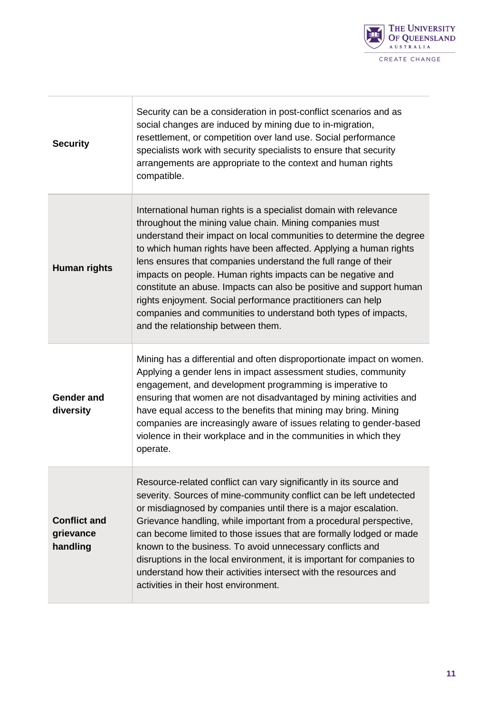

| <b>Security</b>                              | Security can be a consideration in post-conflict scenarios and as<br>social changes are induced by mining due to in-migration,<br>resettlement, or competition over land use. Social performance<br>specialists work with security specialists to ensure that security<br>arrangements are appropriate to the context and human rights<br>compatible.                                                                                                                                                                                                                                                                                                    |
|----------------------------------------------|----------------------------------------------------------------------------------------------------------------------------------------------------------------------------------------------------------------------------------------------------------------------------------------------------------------------------------------------------------------------------------------------------------------------------------------------------------------------------------------------------------------------------------------------------------------------------------------------------------------------------------------------------------|
| <b>Human rights</b>                          | International human rights is a specialist domain with relevance<br>throughout the mining value chain. Mining companies must<br>understand their impact on local communities to determine the degree<br>to which human rights have been affected. Applying a human rights<br>lens ensures that companies understand the full range of their<br>impacts on people. Human rights impacts can be negative and<br>constitute an abuse. Impacts can also be positive and support human<br>rights enjoyment. Social performance practitioners can help<br>companies and communities to understand both types of impacts,<br>and the relationship between them. |
| <b>Gender and</b><br>diversity               | Mining has a differential and often disproportionate impact on women.<br>Applying a gender lens in impact assessment studies, community<br>engagement, and development programming is imperative to<br>ensuring that women are not disadvantaged by mining activities and<br>have equal access to the benefits that mining may bring. Mining<br>companies are increasingly aware of issues relating to gender-based<br>violence in their workplace and in the communities in which they<br>operate.                                                                                                                                                      |
| <b>Conflict and</b><br>grievance<br>handling | Resource-related conflict can vary significantly in its source and<br>severity. Sources of mine-community conflict can be left undetected<br>or misdiagnosed by companies until there is a major escalation.<br>Grievance handling, while important from a procedural perspective,<br>can become limited to those issues that are formally lodged or made<br>known to the business. To avoid unnecessary conflicts and<br>disruptions in the local environment, it is important for companies to<br>understand how their activities intersect with the resources and<br>activities in their host environment.                                            |

T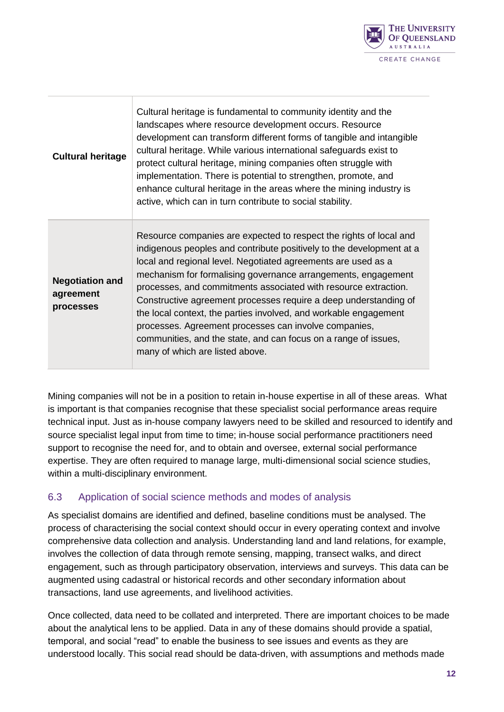

| <b>Cultural heritage</b>                         | Cultural heritage is fundamental to community identity and the<br>landscapes where resource development occurs. Resource<br>development can transform different forms of tangible and intangible<br>cultural heritage. While various international safeguards exist to<br>protect cultural heritage, mining companies often struggle with<br>implementation. There is potential to strengthen, promote, and<br>enhance cultural heritage in the areas where the mining industry is<br>active, which can in turn contribute to social stability.                                                                                                        |
|--------------------------------------------------|--------------------------------------------------------------------------------------------------------------------------------------------------------------------------------------------------------------------------------------------------------------------------------------------------------------------------------------------------------------------------------------------------------------------------------------------------------------------------------------------------------------------------------------------------------------------------------------------------------------------------------------------------------|
| <b>Negotiation and</b><br>agreement<br>processes | Resource companies are expected to respect the rights of local and<br>indigenous peoples and contribute positively to the development at a<br>local and regional level. Negotiated agreements are used as a<br>mechanism for formalising governance arrangements, engagement<br>processes, and commitments associated with resource extraction.<br>Constructive agreement processes require a deep understanding of<br>the local context, the parties involved, and workable engagement<br>processes. Agreement processes can involve companies,<br>communities, and the state, and can focus on a range of issues,<br>many of which are listed above. |

Mining companies will not be in a position to retain in-house expertise in all of these areas. What is important is that companies recognise that these specialist social performance areas require technical input. Just as in-house company lawyers need to be skilled and resourced to identify and source specialist legal input from time to time; in-house social performance practitioners need support to recognise the need for, and to obtain and oversee, external social performance expertise. They are often required to manage large, multi-dimensional social science studies, within a multi-disciplinary environment.

#### <span id="page-15-0"></span>6.3 Application of social science methods and modes of analysis

As specialist domains are identified and defined, baseline conditions must be analysed. The process of characterising the social context should occur in every operating context and involve comprehensive data collection and analysis. Understanding land and land relations, for example, involves the collection of data through remote sensing, mapping, transect walks, and direct engagement, such as through participatory observation, interviews and surveys. This data can be augmented using cadastral or historical records and other secondary information about transactions, land use agreements, and livelihood activities.

Once collected, data need to be collated and interpreted. There are important choices to be made about the analytical lens to be applied. Data in any of these domains should provide a spatial, temporal, and social "read" to enable the business to see issues and events as they are understood locally. This social read should be data-driven, with assumptions and methods made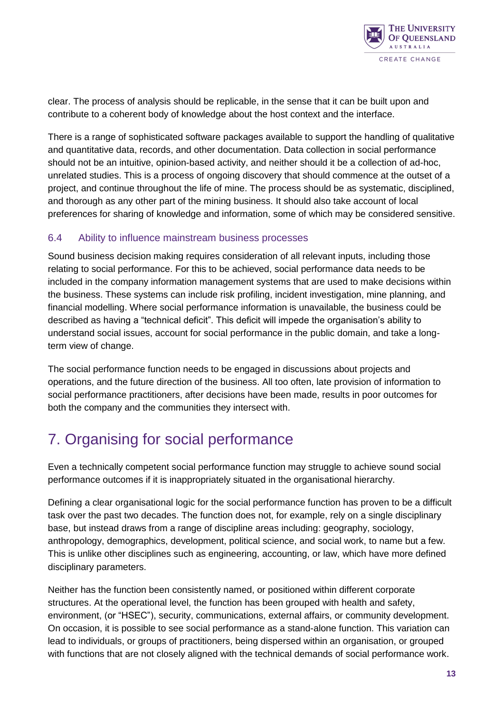

clear. The process of analysis should be replicable, in the sense that it can be built upon and contribute to a coherent body of knowledge about the host context and the interface.

There is a range of sophisticated software packages available to support the handling of qualitative and quantitative data, records, and other documentation. Data collection in social performance should not be an intuitive, opinion-based activity, and neither should it be a collection of ad-hoc, unrelated studies. This is a process of ongoing discovery that should commence at the outset of a project, and continue throughout the life of mine. The process should be as systematic, disciplined, and thorough as any other part of the mining business. It should also take account of local preferences for sharing of knowledge and information, some of which may be considered sensitive.

#### <span id="page-16-0"></span>6.4 Ability to influence mainstream business processes

Sound business decision making requires consideration of all relevant inputs, including those relating to social performance. For this to be achieved, social performance data needs to be included in the company information management systems that are used to make decisions within the business. These systems can include risk profiling, incident investigation, mine planning, and financial modelling. Where social performance information is unavailable, the business could be described as having a "technical deficit". This deficit will impede the organisation's ability to understand social issues, account for social performance in the public domain, and take a longterm view of change.

The social performance function needs to be engaged in discussions about projects and operations, and the future direction of the business. All too often, late provision of information to social performance practitioners, after decisions have been made, results in poor outcomes for both the company and the communities they intersect with.

### <span id="page-16-1"></span>7. Organising for social performance

Even a technically competent social performance function may struggle to achieve sound social performance outcomes if it is inappropriately situated in the organisational hierarchy.

Defining a clear organisational logic for the social performance function has proven to be a difficult task over the past two decades. The function does not, for example, rely on a single disciplinary base, but instead draws from a range of discipline areas including: geography, sociology, anthropology, demographics, development, political science, and social work, to name but a few. This is unlike other disciplines such as engineering, accounting, or law, which have more defined disciplinary parameters.

Neither has the function been consistently named, or positioned within different corporate structures. At the operational level, the function has been grouped with health and safety, environment, (or "HSEC"), security, communications, external affairs, or community development. On occasion, it is possible to see social performance as a stand-alone function. This variation can lead to individuals, or groups of practitioners, being dispersed within an organisation, or grouped with functions that are not closely aligned with the technical demands of social performance work.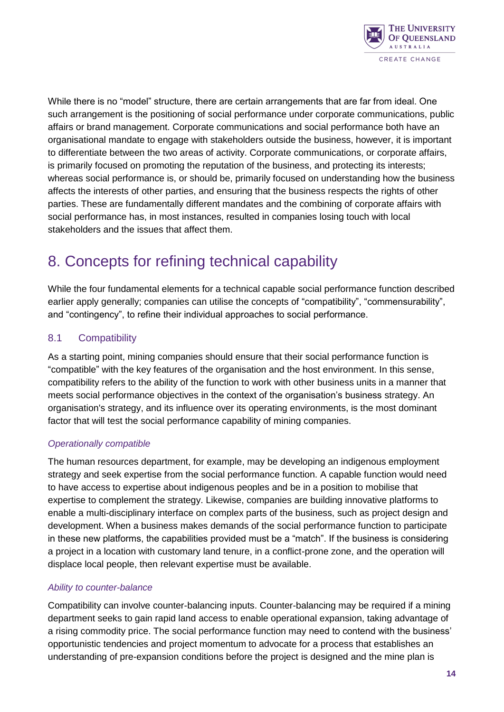

While there is no "model" structure, there are certain arrangements that are far from ideal. One such arrangement is the positioning of social performance under corporate communications, public affairs or brand management. Corporate communications and social performance both have an organisational mandate to engage with stakeholders outside the business, however, it is important to differentiate between the two areas of activity. Corporate communications, or corporate affairs, is primarily focused on promoting the reputation of the business, and protecting its interests; whereas social performance is, or should be, primarily focused on understanding how the business affects the interests of other parties, and ensuring that the business respects the rights of other parties. These are fundamentally different mandates and the combining of corporate affairs with social performance has, in most instances, resulted in companies losing touch with local stakeholders and the issues that affect them.

### <span id="page-17-0"></span>8. Concepts for refining technical capability

While the four fundamental elements for a technical capable social performance function described earlier apply generally; companies can utilise the concepts of "compatibility", "commensurability", and "contingency", to refine their individual approaches to social performance.

#### <span id="page-17-1"></span>8.1 Compatibility

As a starting point, mining companies should ensure that their social performance function is "compatible" with the key features of the organisation and the host environment. In this sense, compatibility refers to the ability of the function to work with other business units in a manner that meets social performance objectives in the context of the organisation's business strategy. An organisation's strategy, and its influence over its operating environments, is the most dominant factor that will test the social performance capability of mining companies.

#### *Operationally compatible*

The human resources department, for example, may be developing an indigenous employment strategy and seek expertise from the social performance function. A capable function would need to have access to expertise about indigenous peoples and be in a position to mobilise that expertise to complement the strategy. Likewise, companies are building innovative platforms to enable a multi-disciplinary interface on complex parts of the business, such as project design and development. When a business makes demands of the social performance function to participate in these new platforms, the capabilities provided must be a "match". If the business is considering a project in a location with customary land tenure, in a conflict-prone zone, and the operation will displace local people, then relevant expertise must be available.

#### *Ability to counter-balance*

Compatibility can involve counter-balancing inputs. Counter-balancing may be required if a mining department seeks to gain rapid land access to enable operational expansion, taking advantage of a rising commodity price. The social performance function may need to contend with the business' opportunistic tendencies and project momentum to advocate for a process that establishes an understanding of pre-expansion conditions before the project is designed and the mine plan is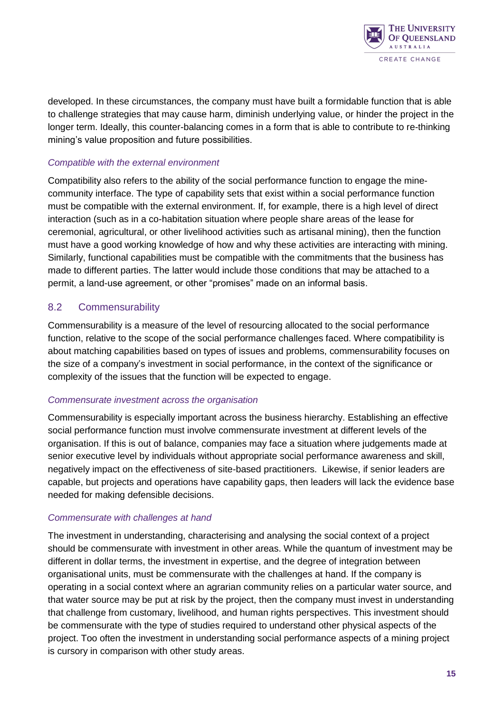

developed. In these circumstances, the company must have built a formidable function that is able to challenge strategies that may cause harm, diminish underlying value, or hinder the project in the longer term. Ideally, this counter-balancing comes in a form that is able to contribute to re-thinking mining's value proposition and future possibilities.

#### *Compatible with the external environment*

Compatibility also refers to the ability of the social performance function to engage the minecommunity interface. The type of capability sets that exist within a social performance function must be compatible with the external environment. If, for example, there is a high level of direct interaction (such as in a co-habitation situation where people share areas of the lease for ceremonial, agricultural, or other livelihood activities such as artisanal mining), then the function must have a good working knowledge of how and why these activities are interacting with mining. Similarly, functional capabilities must be compatible with the commitments that the business has made to different parties. The latter would include those conditions that may be attached to a permit, a land-use agreement, or other "promises" made on an informal basis.

#### <span id="page-18-0"></span>8.2 Commensurability

Commensurability is a measure of the level of resourcing allocated to the social performance function, relative to the scope of the social performance challenges faced. Where compatibility is about matching capabilities based on types of issues and problems, commensurability focuses on the size of a company's investment in social performance, in the context of the significance or complexity of the issues that the function will be expected to engage.

#### *Commensurate investment across the organisation*

Commensurability is especially important across the business hierarchy. Establishing an effective social performance function must involve commensurate investment at different levels of the organisation. If this is out of balance, companies may face a situation where judgements made at senior executive level by individuals without appropriate social performance awareness and skill, negatively impact on the effectiveness of site-based practitioners. Likewise, if senior leaders are capable, but projects and operations have capability gaps, then leaders will lack the evidence base needed for making defensible decisions.

#### *Commensurate with challenges at hand*

The investment in understanding, characterising and analysing the social context of a project should be commensurate with investment in other areas. While the quantum of investment may be different in dollar terms, the investment in expertise, and the degree of integration between organisational units, must be commensurate with the challenges at hand. If the company is operating in a social context where an agrarian community relies on a particular water source, and that water source may be put at risk by the project, then the company must invest in understanding that challenge from customary, livelihood, and human rights perspectives. This investment should be commensurate with the type of studies required to understand other physical aspects of the project. Too often the investment in understanding social performance aspects of a mining project is cursory in comparison with other study areas.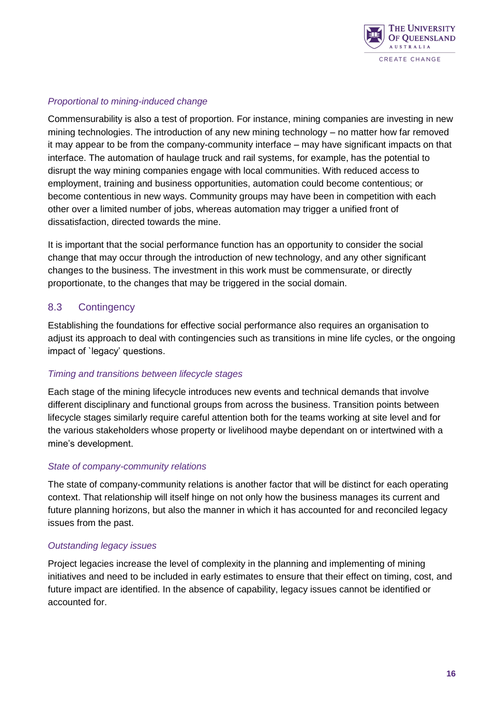

#### *Proportional to mining-induced change*

Commensurability is also a test of proportion. For instance, mining companies are investing in new mining technologies. The introduction of any new mining technology – no matter how far removed it may appear to be from the company-community interface – may have significant impacts on that interface. The automation of haulage truck and rail systems, for example, has the potential to disrupt the way mining companies engage with local communities. With reduced access to employment, training and business opportunities, automation could become contentious; or become contentious in new ways. Community groups may have been in competition with each other over a limited number of jobs, whereas automation may trigger a unified front of dissatisfaction, directed towards the mine.

It is important that the social performance function has an opportunity to consider the social change that may occur through the introduction of new technology, and any other significant changes to the business. The investment in this work must be commensurate, or directly proportionate, to the changes that may be triggered in the social domain.

#### <span id="page-19-0"></span>8.3 Contingency

Establishing the foundations for effective social performance also requires an organisation to adjust its approach to deal with contingencies such as transitions in mine life cycles, or the ongoing impact of `legacy' questions.

#### *Timing and transitions between lifecycle stages*

Each stage of the mining lifecycle introduces new events and technical demands that involve different disciplinary and functional groups from across the business. Transition points between lifecycle stages similarly require careful attention both for the teams working at site level and for the various stakeholders whose property or livelihood maybe dependant on or intertwined with a mine's development.

#### *State of company-community relations*

The state of company-community relations is another factor that will be distinct for each operating context. That relationship will itself hinge on not only how the business manages its current and future planning horizons, but also the manner in which it has accounted for and reconciled legacy issues from the past.

#### *Outstanding legacy issues*

Project legacies increase the level of complexity in the planning and implementing of mining initiatives and need to be included in early estimates to ensure that their effect on timing, cost, and future impact are identified. In the absence of capability, legacy issues cannot be identified or accounted for.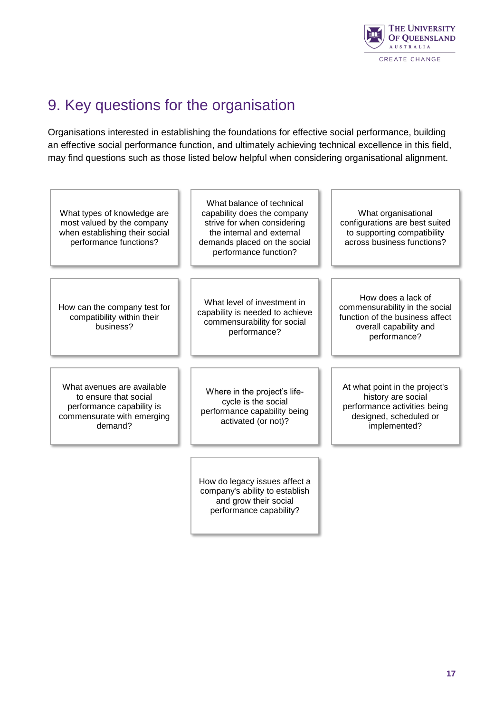

### <span id="page-20-0"></span>9. Key questions for the organisation

Organisations interested in establishing the foundations for effective social performance, building an effective social performance function, and ultimately achieving technical excellence in this field, may find questions such as those listed below helpful when considering organisational alignment.

<span id="page-20-1"></span>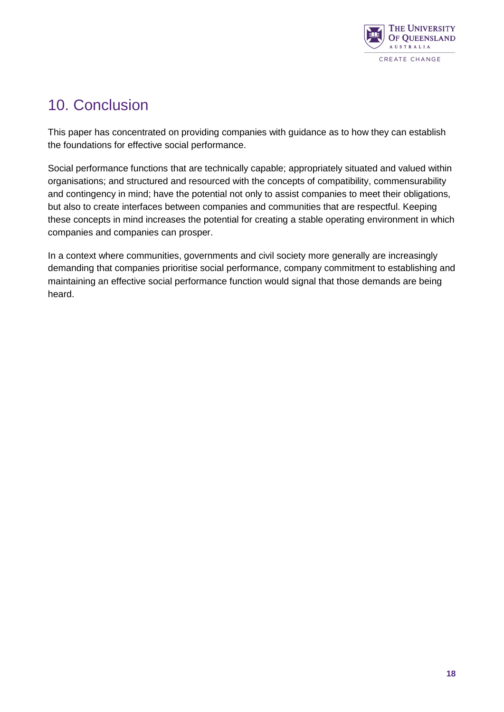

### 10. Conclusion

This paper has concentrated on providing companies with guidance as to how they can establish the foundations for effective social performance.

Social performance functions that are technically capable; appropriately situated and valued within organisations; and structured and resourced with the concepts of compatibility, commensurability and contingency in mind; have the potential not only to assist companies to meet their obligations, but also to create interfaces between companies and communities that are respectful. Keeping these concepts in mind increases the potential for creating a stable operating environment in which companies and companies can prosper.

In a context where communities, governments and civil society more generally are increasingly demanding that companies prioritise social performance, company commitment to establishing and maintaining an effective social performance function would signal that those demands are being heard.